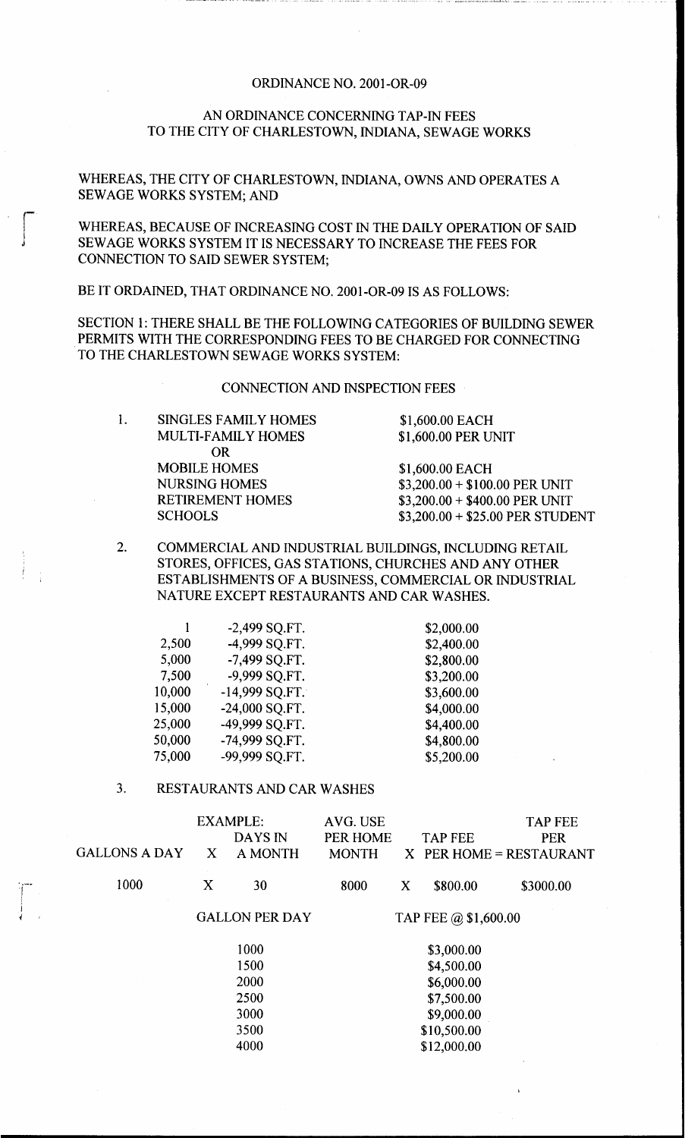## ORDINANCE NO. 2001-OR-09

## AN ORDINANCE CONCERNING TAP-IN FEES TO THE CITY OF CHARLESTOWN, INDIANA, SEWAGE WORKS

WHEREAS, THE CITY OF CHARLESTOWN, INDIANA, OWNS AND OPERATES A SEWAGE WORKS SYSTEM; AND

WHEREAS, BECAUSE OF INCREASING COST IN THE DAILY OPERATION OF SAID CONNECTION TO SAID SEWER SYSTEM; SEWAGE works SYSTEM IT Is NECESSARY To INCREASE THE FEES FOR

BE IT ORDAINED, THAT ORDINANCE NO. 2001-OR-09 IS AS FOLLOWS:

SECTION **1:** THERE SHALL BE THE FOLLOWING CATEGORIES OF BUILDING SEWER PERMITS WITH THE CORRESPONDING FEES TO BE CHARGED FOR CONNECTING TO THE CHARLESTOWN SEWAGE WORKS SYSTEM:

CONNECTION AND INSPECTION FEES

1. SINGLES FAMILY HOMES \$1,600.00 EACH MULTI-FAMILY HOMES \$1,600.00 PER UNIT MOBILE HOMES \$1,600.00 EACH NURSING HOMES RETIREMENT HOMES **SCHOOLS** OR

\$3,200.00 + \$100.00 PER UNIT \$3,200.00 + \$400.00 PER UNIT \$3,200.00 + \$25.00 PER STUDENT

COMMERCIAL AND INDUSTRIAL BUILDINGS, INCLUDING RETAIL STORES, OFFICES, GAS STATIONS, CHURCHES AND ANY OTHER ESTABLISHMENTS OF A BUSINESS, COMMERCIAL OR INDUSTRIAL NATURE EXCEPT RESTAURANTS AND CAR WASHES. **2.** 

|        | -2,499 SQ.FT.    | \$2,000.00 |
|--------|------------------|------------|
| 2,500  | -4,999 SQ.FT.    | \$2,400.00 |
| 5,000  | -7,499 SQ.FT.    | \$2,800.00 |
| 7,500  | -9,999 SQ.FT.    | \$3,200.00 |
| 10,000 | $-14,999$ SQ.FT. | \$3,600.00 |
| 15,000 | -24,000 SQ.FT.   | \$4,000.00 |
| 25,000 | -49,999 SQ.FT.   | \$4,400.00 |
| 50,000 | -74,999 SQ.FT.   | \$4,800.00 |
| 75,000 | -99,999 SQ.FT.   | \$5,200.00 |

## 3. RESTAURANTS AND CAR WASHES

|      | <b>GALLONS A DAY</b> | X                     | <b>EXAMPLE:</b><br>DAYS IN<br><b>A MONTH</b> | AVG. USE<br>PER HOME<br><b>MONTH</b> |   | <b>TAP FEE</b><br>$X$ PER HOME = RESTAURANT | <b>TAP FEE</b><br><b>PER</b> |
|------|----------------------|-----------------------|----------------------------------------------|--------------------------------------|---|---------------------------------------------|------------------------------|
|      | 1000                 | X                     | 30                                           | 8000                                 | X | \$800.00                                    | \$3000.00                    |
|      |                      | <b>GALLON PER DAY</b> |                                              | TAP FEE $\omega$ \$1,600.00          |   |                                             |                              |
|      | 1000                 |                       | \$3,000.00                                   |                                      |   |                                             |                              |
| 1500 |                      |                       | \$4,500.00                                   |                                      |   |                                             |                              |
|      |                      | 2000                  |                                              | \$6,000.00                           |   |                                             |                              |
|      |                      | 2500                  |                                              | \$7,500.00                           |   |                                             |                              |
|      |                      | 3000                  |                                              | \$9,000.00                           |   |                                             |                              |
|      |                      |                       | 3500                                         |                                      |   | \$10,500.00                                 |                              |
|      |                      | 4000                  |                                              | \$12,000.00                          |   |                                             |                              |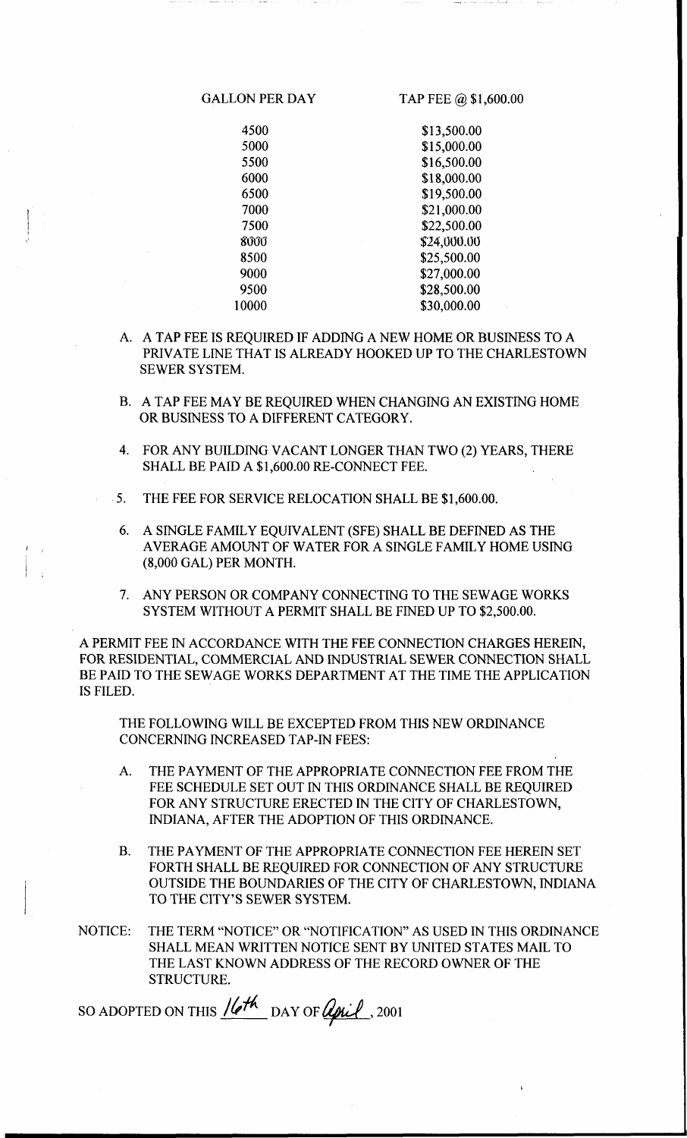GALLON PER DAY TAP FEE @ \$1,600.00

4500 \$13,500.00<br>5000 \$15,000.00 5000 \$15,000.00 5500 \$16,500.00 6000 \$18,000.00 6500 \$19,500.00 7000 \$21,000.00 7500 \$22,500.00 sooo \$24,000.00 8500 \$25,500.00 9000 \$27,000.00 9500 \$28,500.00 10000 \$30,000.00

- A. A TAP FEE IS REQUIRED IF ADDING A NEW HOME OR BUSINESS TO A PRIVATE LINE THAT IS ALREADY HOOKED UP TO THE CHARLESTOWN SEWER SYSTEM.
- B. A TAP FEE MAY BE REQUIRED WHEN CHANGING AN EXISTING HOME OR BUSINESS TO A DIFFERENT CATEGORY.
- 4. FOR ANY BUILDING VACANT LONGER THAN TWO **(2)** YEARS, THERE SHALL BE PAID A \$1,600.00 RE-CONNECT FEE.
- 5. THE FEE FOR SERVICE RELOCATION SHALL BE \$1,600.00.

I

- 6. A SINGLE FAMILY EQUIVALENT (SFE) SHALL BE DEFINED AS THE AVERAGE AMOUNT OF WATER FOR A SINGLE FAMILY HOME USING (8,000 GAL) PER MONTH.
- 7. ANY PERSON OR COMPANY CONNECTING TO THE SEWAGE WORKS SYSTEM WITHOUT A PERMIT SHALL BE FINED UP TO \$2,500.00.

A PERMIT FEE IN ACCORDANCE WITH THE FEE CONNECTION CHARGES HEREIN, FOR RESIDENTIAL, COMMERCIAL AND INDUSTRIAL SEWER CONNECTION SHALL BE PAID TO THE SEWAGE WORKS DEPARTMENT AT THE TIME THE APPLICATION IS FILED.

THE FOLLOWING WILL BE EXCEPTED FROM THIS NEW ORDINANCE CONCERNING INCREASED TAP-IN FEES:

- A. THE PAYMENT OF THE APPROPRIATE CONNECTION FEE FROM THE FEE SCHEDULE SET OUT IN THIS ORDINANCE SHALL BE REQUIRED FOR ANY STRUCTURE ERECTED IN THE CITY OF CHARLESTOWN, INDIANA, AFTER THE ADOPTION OF THIS ORDINANCE.
- THE PAYMENT OF THE APPROPRIATE CONNECTION FEE HEREIN SET FORTH SHALL BE REQUIRED FOR CONNECTION OF ANY STRUCTURE OUTSIDE THE BOUNDARIES OF THE CITY OF CHARLESTOWN, INDIANA TO THE CITY'S SEWER SYSTEM. B.
- THE TERM "NOTICE" OR "NOTIFICATION" AS USED IN THIS ORDINANCE SHALL MEAN WRITTEN NOTICE SENT BY UNITED STATES MAIL TO THE LAST KNOWN ADDRESS OF THE RECORD OWNER OF THE STRUCTURE. NOTICE:

SO ADOPTED ON THIS  $16th$  DAY OF *April*, 2001